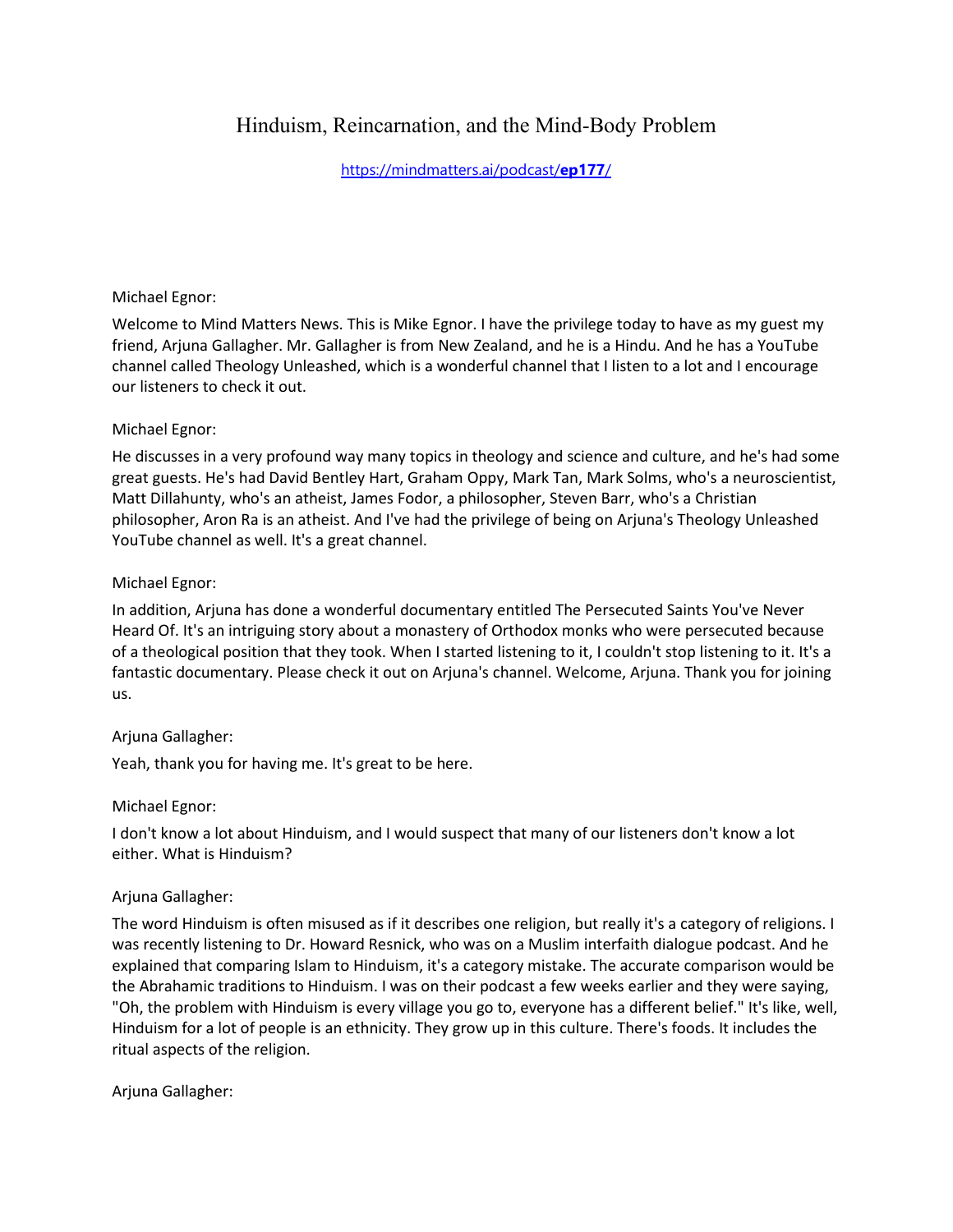# Hinduism, Reincarnation, and the Mind-Body Problem

[https://mindmatters.ai/podcast/](https://mindmatters.ai/podcast/ep177/)**ep177**/

## Michael Egnor:

Welcome to Mind Matters News. This is Mike Egnor. I have the privilege today to have as my guest my friend, Arjuna Gallagher. Mr. Gallagher is from New Zealand, and he is a Hindu. And he has a YouTube channel called Theology Unleashed, which is a wonderful channel that I listen to a lot and I encourage our listeners to check it out.

## Michael Egnor:

He discusses in a very profound way many topics in theology and science and culture, and he's had some great guests. He's had David Bentley Hart, Graham Oppy, Mark Tan, Mark Solms, who's a neuroscientist, Matt Dillahunty, who's an atheist, James Fodor, a philosopher, Steven Barr, who's a Christian philosopher, Aron Ra is an atheist. And I've had the privilege of being on Arjuna's Theology Unleashed YouTube channel as well. It's a great channel.

#### Michael Egnor:

In addition, Arjuna has done a wonderful documentary entitled The Persecuted Saints You've Never Heard Of. It's an intriguing story about a monastery of Orthodox monks who were persecuted because of a theological position that they took. When I started listening to it, I couldn't stop listening to it. It's a fantastic documentary. Please check it out on Arjuna's channel. Welcome, Arjuna. Thank you for joining us.

## Arjuna Gallagher:

Yeah, thank you for having me. It's great to be here.

#### Michael Egnor:

I don't know a lot about Hinduism, and I would suspect that many of our listeners don't know a lot either. What is Hinduism?

#### Arjuna Gallagher:

The word Hinduism is often misused as if it describes one religion, but really it's a category of religions. I was recently listening to Dr. Howard Resnick, who was on a Muslim interfaith dialogue podcast. And he explained that comparing Islam to Hinduism, it's a category mistake. The accurate comparison would be the Abrahamic traditions to Hinduism. I was on their podcast a few weeks earlier and they were saying, "Oh, the problem with Hinduism is every village you go to, everyone has a different belief." It's like, well, Hinduism for a lot of people is an ethnicity. They grow up in this culture. There's foods. It includes the ritual aspects of the religion.

## Arjuna Gallagher: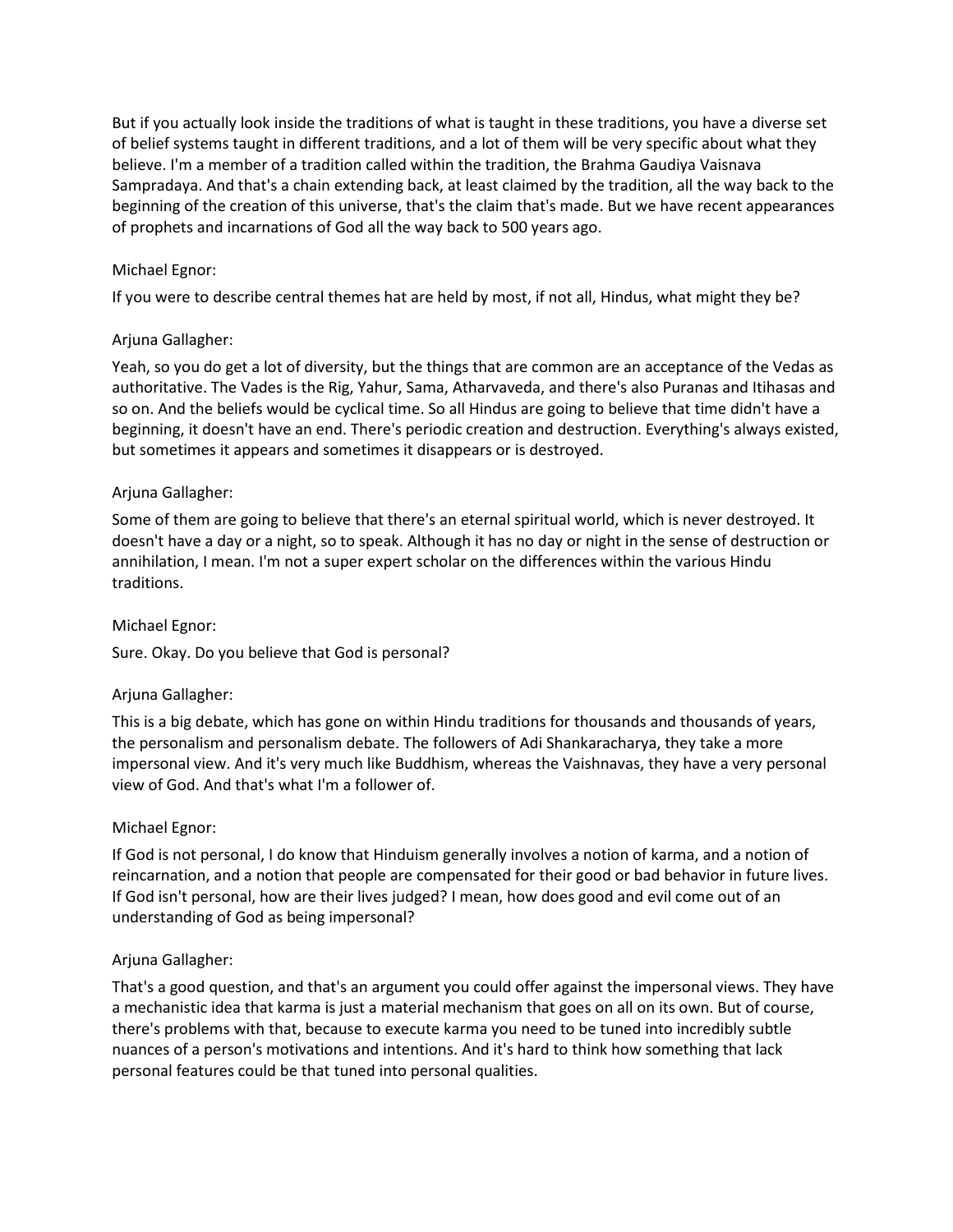But if you actually look inside the traditions of what is taught in these traditions, you have a diverse set of belief systems taught in different traditions, and a lot of them will be very specific about what they believe. I'm a member of a tradition called within the tradition, the Brahma Gaudiya Vaisnava Sampradaya. And that's a chain extending back, at least claimed by the tradition, all the way back to the beginning of the creation of this universe, that's the claim that's made. But we have recent appearances of prophets and incarnations of God all the way back to 500 years ago.

## Michael Egnor:

If you were to describe central themes hat are held by most, if not all, Hindus, what might they be?

#### Arjuna Gallagher:

Yeah, so you do get a lot of diversity, but the things that are common are an acceptance of the Vedas as authoritative. The Vades is the Rig, Yahur, Sama, Atharvaveda, and there's also Puranas and Itihasas and so on. And the beliefs would be cyclical time. So all Hindus are going to believe that time didn't have a beginning, it doesn't have an end. There's periodic creation and destruction. Everything's always existed, but sometimes it appears and sometimes it disappears or is destroyed.

#### Arjuna Gallagher:

Some of them are going to believe that there's an eternal spiritual world, which is never destroyed. It doesn't have a day or a night, so to speak. Although it has no day or night in the sense of destruction or annihilation, I mean. I'm not a super expert scholar on the differences within the various Hindu traditions.

#### Michael Egnor:

Sure. Okay. Do you believe that God is personal?

## Arjuna Gallagher:

This is a big debate, which has gone on within Hindu traditions for thousands and thousands of years, the personalism and personalism debate. The followers of Adi Shankaracharya, they take a more impersonal view. And it's very much like Buddhism, whereas the Vaishnavas, they have a very personal view of God. And that's what I'm a follower of.

#### Michael Egnor:

If God is not personal, I do know that Hinduism generally involves a notion of karma, and a notion of reincarnation, and a notion that people are compensated for their good or bad behavior in future lives. If God isn't personal, how are their lives judged? I mean, how does good and evil come out of an understanding of God as being impersonal?

## Arjuna Gallagher:

That's a good question, and that's an argument you could offer against the impersonal views. They have a mechanistic idea that karma is just a material mechanism that goes on all on its own. But of course, there's problems with that, because to execute karma you need to be tuned into incredibly subtle nuances of a person's motivations and intentions. And it's hard to think how something that lack personal features could be that tuned into personal qualities.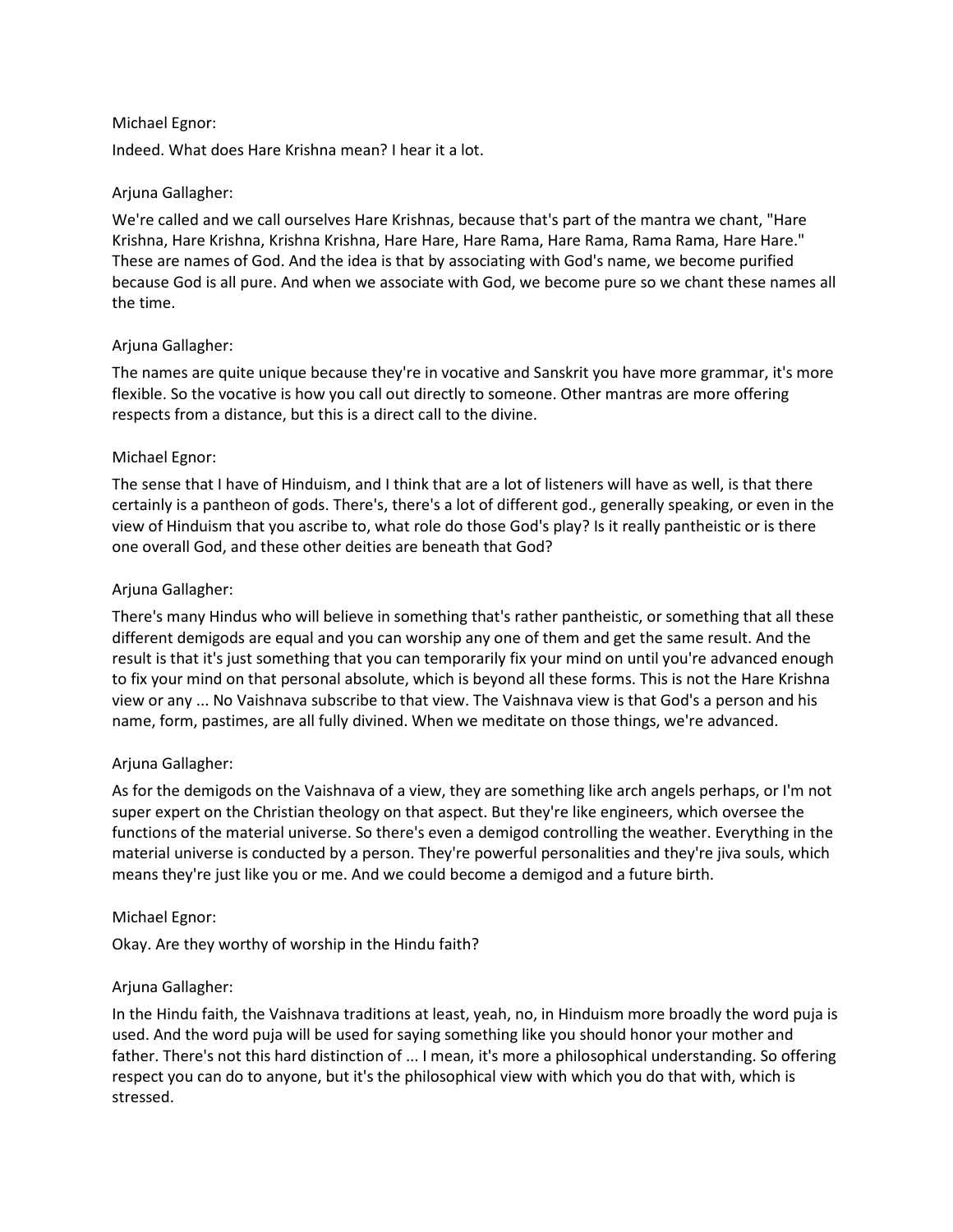## Michael Egnor:

Indeed. What does Hare Krishna mean? I hear it a lot.

## Arjuna Gallagher:

We're called and we call ourselves Hare Krishnas, because that's part of the mantra we chant, "Hare Krishna, Hare Krishna, Krishna Krishna, Hare Hare, Hare Rama, Hare Rama, Rama Rama, Hare Hare." These are names of God. And the idea is that by associating with God's name, we become purified because God is all pure. And when we associate with God, we become pure so we chant these names all the time.

#### Arjuna Gallagher:

The names are quite unique because they're in vocative and Sanskrit you have more grammar, it's more flexible. So the vocative is how you call out directly to someone. Other mantras are more offering respects from a distance, but this is a direct call to the divine.

#### Michael Egnor:

The sense that I have of Hinduism, and I think that are a lot of listeners will have as well, is that there certainly is a pantheon of gods. There's, there's a lot of different god., generally speaking, or even in the view of Hinduism that you ascribe to, what role do those God's play? Is it really pantheistic or is there one overall God, and these other deities are beneath that God?

#### Arjuna Gallagher:

There's many Hindus who will believe in something that's rather pantheistic, or something that all these different demigods are equal and you can worship any one of them and get the same result. And the result is that it's just something that you can temporarily fix your mind on until you're advanced enough to fix your mind on that personal absolute, which is beyond all these forms. This is not the Hare Krishna view or any ... No Vaishnava subscribe to that view. The Vaishnava view is that God's a person and his name, form, pastimes, are all fully divined. When we meditate on those things, we're advanced.

## Arjuna Gallagher:

As for the demigods on the Vaishnava of a view, they are something like arch angels perhaps, or I'm not super expert on the Christian theology on that aspect. But they're like engineers, which oversee the functions of the material universe. So there's even a demigod controlling the weather. Everything in the material universe is conducted by a person. They're powerful personalities and they're jiva souls, which means they're just like you or me. And we could become a demigod and a future birth.

#### Michael Egnor:

Okay. Are they worthy of worship in the Hindu faith?

## Arjuna Gallagher:

In the Hindu faith, the Vaishnava traditions at least, yeah, no, in Hinduism more broadly the word puja is used. And the word puja will be used for saying something like you should honor your mother and father. There's not this hard distinction of ... I mean, it's more a philosophical understanding. So offering respect you can do to anyone, but it's the philosophical view with which you do that with, which is stressed.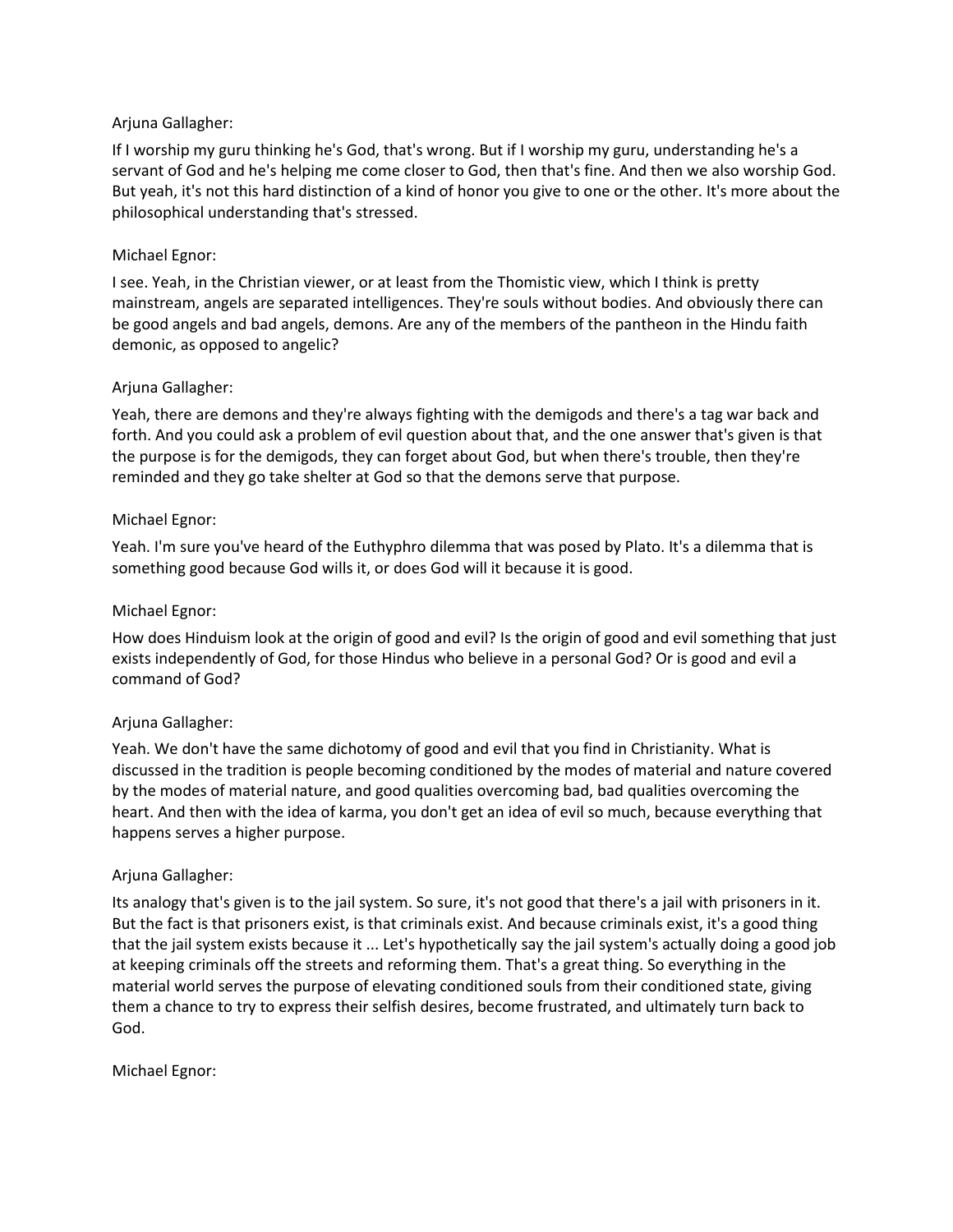## Arjuna Gallagher:

If I worship my guru thinking he's God, that's wrong. But if I worship my guru, understanding he's a servant of God and he's helping me come closer to God, then that's fine. And then we also worship God. But yeah, it's not this hard distinction of a kind of honor you give to one or the other. It's more about the philosophical understanding that's stressed.

## Michael Egnor:

I see. Yeah, in the Christian viewer, or at least from the Thomistic view, which I think is pretty mainstream, angels are separated intelligences. They're souls without bodies. And obviously there can be good angels and bad angels, demons. Are any of the members of the pantheon in the Hindu faith demonic, as opposed to angelic?

# Arjuna Gallagher:

Yeah, there are demons and they're always fighting with the demigods and there's a tag war back and forth. And you could ask a problem of evil question about that, and the one answer that's given is that the purpose is for the demigods, they can forget about God, but when there's trouble, then they're reminded and they go take shelter at God so that the demons serve that purpose.

## Michael Egnor:

Yeah. I'm sure you've heard of the Euthyphro dilemma that was posed by Plato. It's a dilemma that is something good because God wills it, or does God will it because it is good.

# Michael Egnor:

How does Hinduism look at the origin of good and evil? Is the origin of good and evil something that just exists independently of God, for those Hindus who believe in a personal God? Or is good and evil a command of God?

## Arjuna Gallagher:

Yeah. We don't have the same dichotomy of good and evil that you find in Christianity. What is discussed in the tradition is people becoming conditioned by the modes of material and nature covered by the modes of material nature, and good qualities overcoming bad, bad qualities overcoming the heart. And then with the idea of karma, you don't get an idea of evil so much, because everything that happens serves a higher purpose.

## Arjuna Gallagher:

Its analogy that's given is to the jail system. So sure, it's not good that there's a jail with prisoners in it. But the fact is that prisoners exist, is that criminals exist. And because criminals exist, it's a good thing that the jail system exists because it ... Let's hypothetically say the jail system's actually doing a good job at keeping criminals off the streets and reforming them. That's a great thing. So everything in the material world serves the purpose of elevating conditioned souls from their conditioned state, giving them a chance to try to express their selfish desires, become frustrated, and ultimately turn back to God.

Michael Egnor: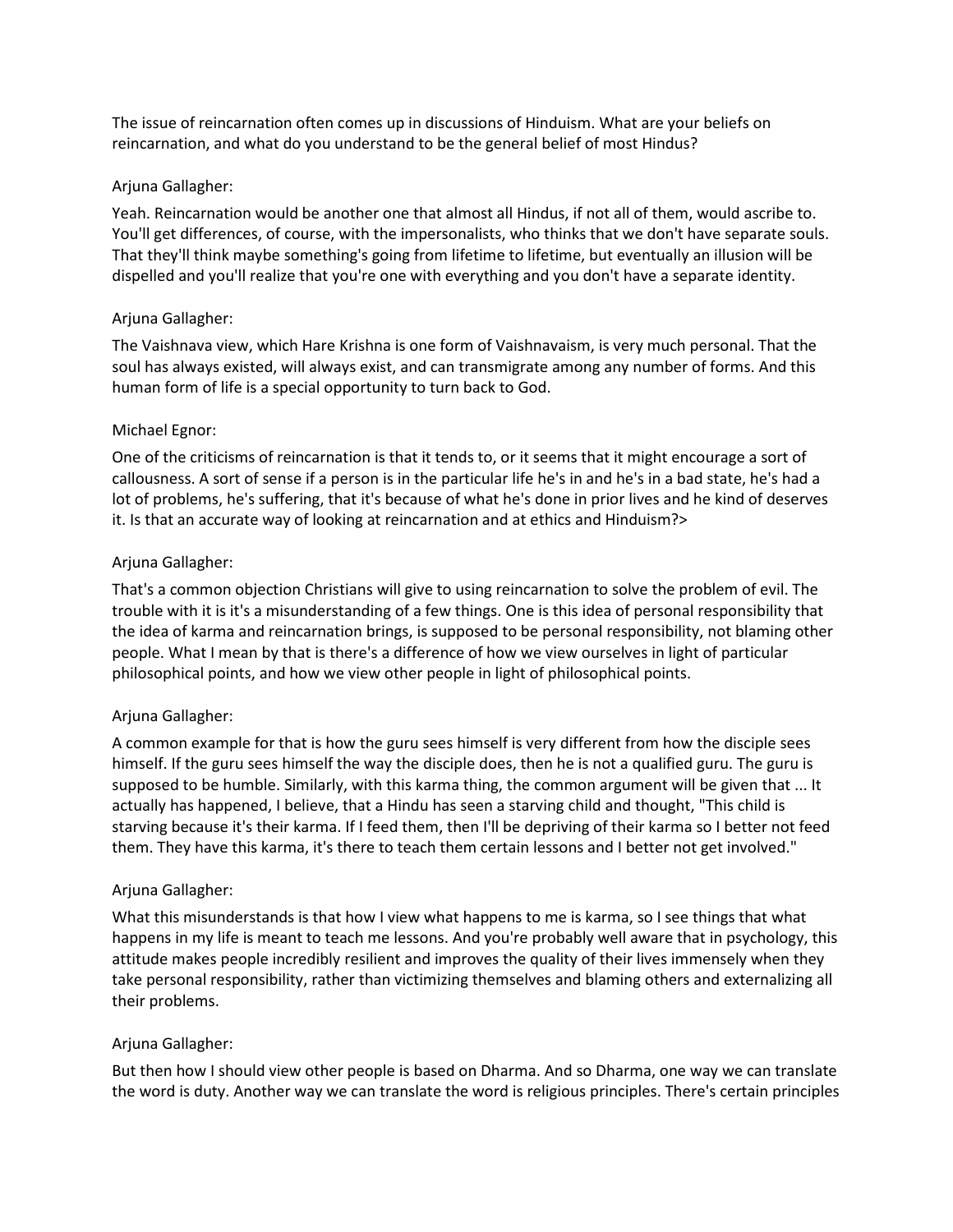The issue of reincarnation often comes up in discussions of Hinduism. What are your beliefs on reincarnation, and what do you understand to be the general belief of most Hindus?

## Arjuna Gallagher:

Yeah. Reincarnation would be another one that almost all Hindus, if not all of them, would ascribe to. You'll get differences, of course, with the impersonalists, who thinks that we don't have separate souls. That they'll think maybe something's going from lifetime to lifetime, but eventually an illusion will be dispelled and you'll realize that you're one with everything and you don't have a separate identity.

## Arjuna Gallagher:

The Vaishnava view, which Hare Krishna is one form of Vaishnavaism, is very much personal. That the soul has always existed, will always exist, and can transmigrate among any number of forms. And this human form of life is a special opportunity to turn back to God.

#### Michael Egnor:

One of the criticisms of reincarnation is that it tends to, or it seems that it might encourage a sort of callousness. A sort of sense if a person is in the particular life he's in and he's in a bad state, he's had a lot of problems, he's suffering, that it's because of what he's done in prior lives and he kind of deserves it. Is that an accurate way of looking at reincarnation and at ethics and Hinduism?>

#### Arjuna Gallagher:

That's a common objection Christians will give to using reincarnation to solve the problem of evil. The trouble with it is it's a misunderstanding of a few things. One is this idea of personal responsibility that the idea of karma and reincarnation brings, is supposed to be personal responsibility, not blaming other people. What I mean by that is there's a difference of how we view ourselves in light of particular philosophical points, and how we view other people in light of philosophical points.

## Arjuna Gallagher:

A common example for that is how the guru sees himself is very different from how the disciple sees himself. If the guru sees himself the way the disciple does, then he is not a qualified guru. The guru is supposed to be humble. Similarly, with this karma thing, the common argument will be given that ... It actually has happened, I believe, that a Hindu has seen a starving child and thought, "This child is starving because it's their karma. If I feed them, then I'll be depriving of their karma so I better not feed them. They have this karma, it's there to teach them certain lessons and I better not get involved."

## Arjuna Gallagher:

What this misunderstands is that how I view what happens to me is karma, so I see things that what happens in my life is meant to teach me lessons. And you're probably well aware that in psychology, this attitude makes people incredibly resilient and improves the quality of their lives immensely when they take personal responsibility, rather than victimizing themselves and blaming others and externalizing all their problems.

## Arjuna Gallagher:

But then how I should view other people is based on Dharma. And so Dharma, one way we can translate the word is duty. Another way we can translate the word is religious principles. There's certain principles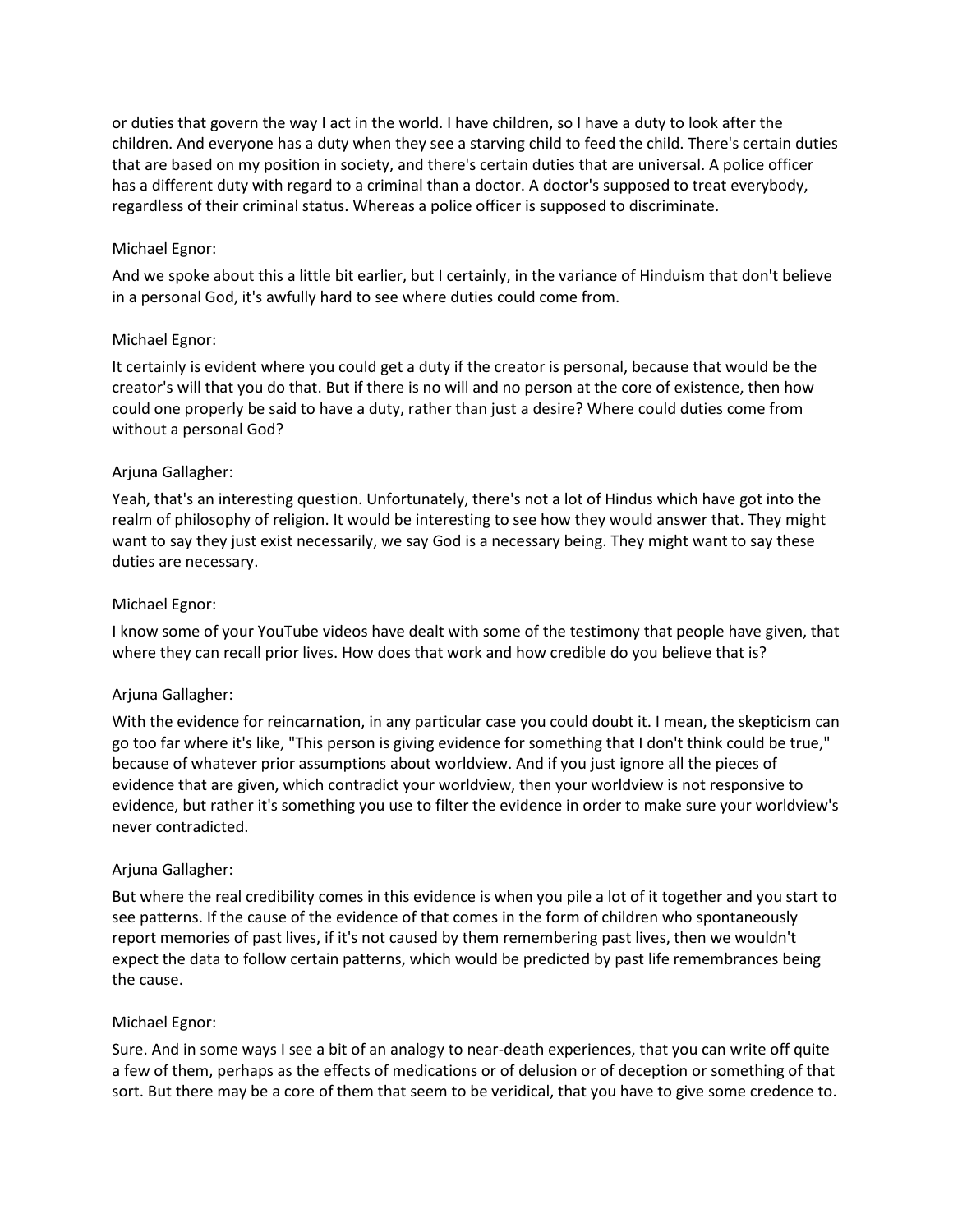or duties that govern the way I act in the world. I have children, so I have a duty to look after the children. And everyone has a duty when they see a starving child to feed the child. There's certain duties that are based on my position in society, and there's certain duties that are universal. A police officer has a different duty with regard to a criminal than a doctor. A doctor's supposed to treat everybody, regardless of their criminal status. Whereas a police officer is supposed to discriminate.

## Michael Egnor:

And we spoke about this a little bit earlier, but I certainly, in the variance of Hinduism that don't believe in a personal God, it's awfully hard to see where duties could come from.

# Michael Egnor:

It certainly is evident where you could get a duty if the creator is personal, because that would be the creator's will that you do that. But if there is no will and no person at the core of existence, then how could one properly be said to have a duty, rather than just a desire? Where could duties come from without a personal God?

# Arjuna Gallagher:

Yeah, that's an interesting question. Unfortunately, there's not a lot of Hindus which have got into the realm of philosophy of religion. It would be interesting to see how they would answer that. They might want to say they just exist necessarily, we say God is a necessary being. They might want to say these duties are necessary.

# Michael Egnor:

I know some of your YouTube videos have dealt with some of the testimony that people have given, that where they can recall prior lives. How does that work and how credible do you believe that is?

## Arjuna Gallagher:

With the evidence for reincarnation, in any particular case you could doubt it. I mean, the skepticism can go too far where it's like, "This person is giving evidence for something that I don't think could be true," because of whatever prior assumptions about worldview. And if you just ignore all the pieces of evidence that are given, which contradict your worldview, then your worldview is not responsive to evidence, but rather it's something you use to filter the evidence in order to make sure your worldview's never contradicted.

## Arjuna Gallagher:

But where the real credibility comes in this evidence is when you pile a lot of it together and you start to see patterns. If the cause of the evidence of that comes in the form of children who spontaneously report memories of past lives, if it's not caused by them remembering past lives, then we wouldn't expect the data to follow certain patterns, which would be predicted by past life remembrances being the cause.

## Michael Egnor:

Sure. And in some ways I see a bit of an analogy to near-death experiences, that you can write off quite a few of them, perhaps as the effects of medications or of delusion or of deception or something of that sort. But there may be a core of them that seem to be veridical, that you have to give some credence to.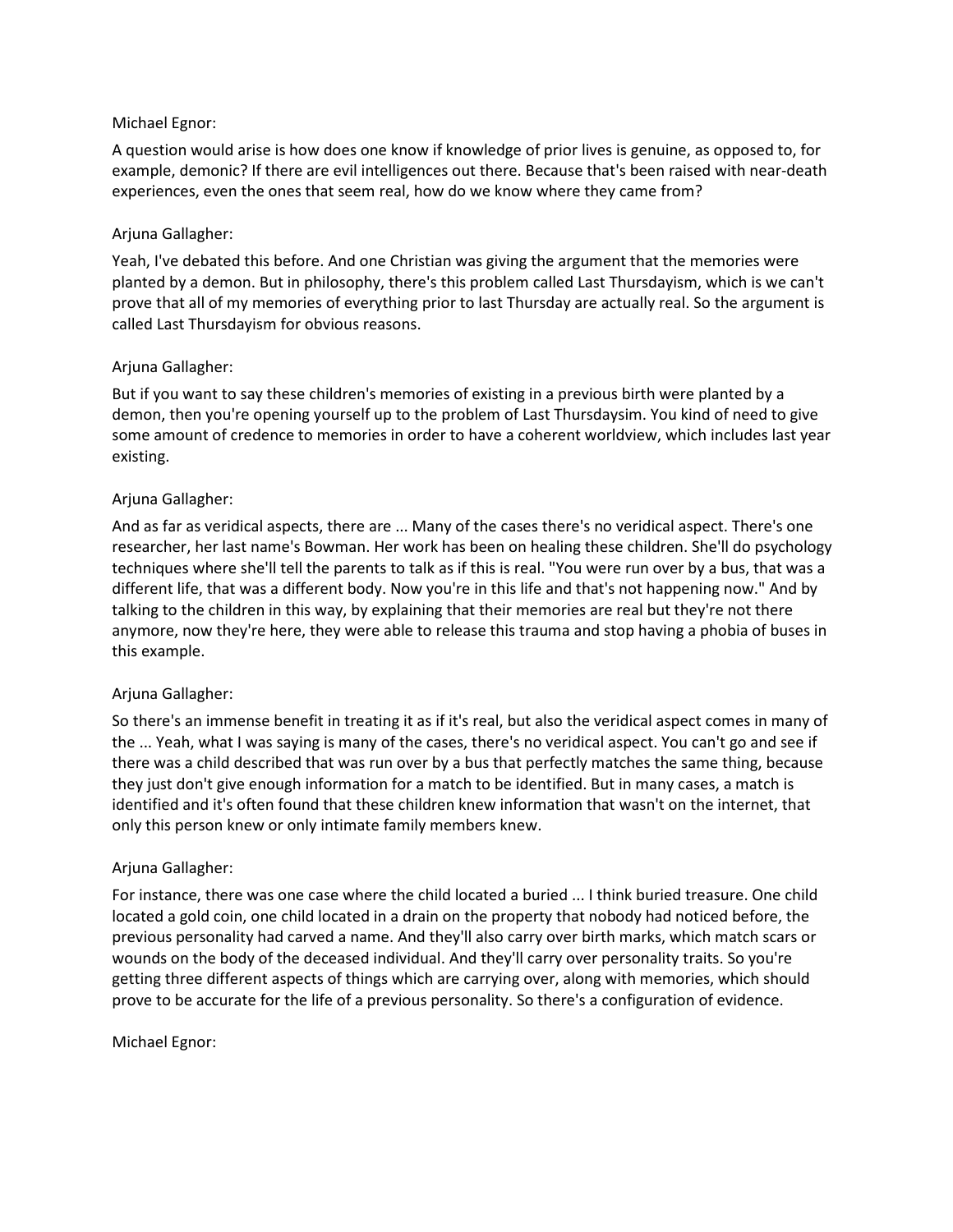## Michael Egnor:

A question would arise is how does one know if knowledge of prior lives is genuine, as opposed to, for example, demonic? If there are evil intelligences out there. Because that's been raised with near-death experiences, even the ones that seem real, how do we know where they came from?

## Arjuna Gallagher:

Yeah, I've debated this before. And one Christian was giving the argument that the memories were planted by a demon. But in philosophy, there's this problem called Last Thursdayism, which is we can't prove that all of my memories of everything prior to last Thursday are actually real. So the argument is called Last Thursdayism for obvious reasons.

## Arjuna Gallagher:

But if you want to say these children's memories of existing in a previous birth were planted by a demon, then you're opening yourself up to the problem of Last Thursdaysim. You kind of need to give some amount of credence to memories in order to have a coherent worldview, which includes last year existing.

#### Arjuna Gallagher:

And as far as veridical aspects, there are ... Many of the cases there's no veridical aspect. There's one researcher, her last name's Bowman. Her work has been on healing these children. She'll do psychology techniques where she'll tell the parents to talk as if this is real. "You were run over by a bus, that was a different life, that was a different body. Now you're in this life and that's not happening now." And by talking to the children in this way, by explaining that their memories are real but they're not there anymore, now they're here, they were able to release this trauma and stop having a phobia of buses in this example.

## Arjuna Gallagher:

So there's an immense benefit in treating it as if it's real, but also the veridical aspect comes in many of the ... Yeah, what I was saying is many of the cases, there's no veridical aspect. You can't go and see if there was a child described that was run over by a bus that perfectly matches the same thing, because they just don't give enough information for a match to be identified. But in many cases, a match is identified and it's often found that these children knew information that wasn't on the internet, that only this person knew or only intimate family members knew.

#### Arjuna Gallagher:

For instance, there was one case where the child located a buried ... I think buried treasure. One child located a gold coin, one child located in a drain on the property that nobody had noticed before, the previous personality had carved a name. And they'll also carry over birth marks, which match scars or wounds on the body of the deceased individual. And they'll carry over personality traits. So you're getting three different aspects of things which are carrying over, along with memories, which should prove to be accurate for the life of a previous personality. So there's a configuration of evidence.

#### Michael Egnor: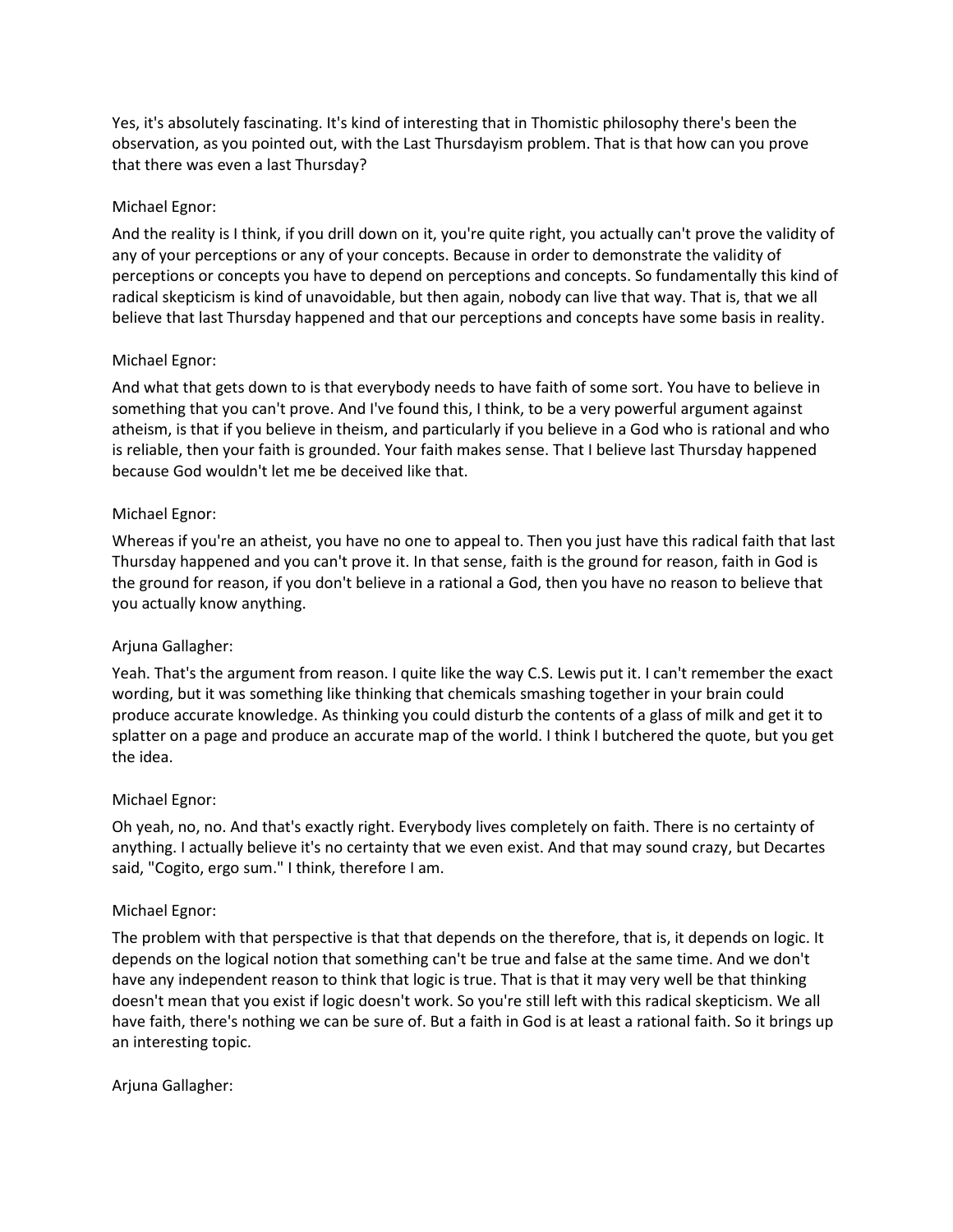Yes, it's absolutely fascinating. It's kind of interesting that in Thomistic philosophy there's been the observation, as you pointed out, with the Last Thursdayism problem. That is that how can you prove that there was even a last Thursday?

## Michael Egnor:

And the reality is I think, if you drill down on it, you're quite right, you actually can't prove the validity of any of your perceptions or any of your concepts. Because in order to demonstrate the validity of perceptions or concepts you have to depend on perceptions and concepts. So fundamentally this kind of radical skepticism is kind of unavoidable, but then again, nobody can live that way. That is, that we all believe that last Thursday happened and that our perceptions and concepts have some basis in reality.

## Michael Egnor:

And what that gets down to is that everybody needs to have faith of some sort. You have to believe in something that you can't prove. And I've found this, I think, to be a very powerful argument against atheism, is that if you believe in theism, and particularly if you believe in a God who is rational and who is reliable, then your faith is grounded. Your faith makes sense. That I believe last Thursday happened because God wouldn't let me be deceived like that.

## Michael Egnor:

Whereas if you're an atheist, you have no one to appeal to. Then you just have this radical faith that last Thursday happened and you can't prove it. In that sense, faith is the ground for reason, faith in God is the ground for reason, if you don't believe in a rational a God, then you have no reason to believe that you actually know anything.

# Arjuna Gallagher:

Yeah. That's the argument from reason. I quite like the way C.S. Lewis put it. I can't remember the exact wording, but it was something like thinking that chemicals smashing together in your brain could produce accurate knowledge. As thinking you could disturb the contents of a glass of milk and get it to splatter on a page and produce an accurate map of the world. I think I butchered the quote, but you get the idea.

## Michael Egnor:

Oh yeah, no, no. And that's exactly right. Everybody lives completely on faith. There is no certainty of anything. I actually believe it's no certainty that we even exist. And that may sound crazy, but Decartes said, "Cogito, ergo sum." I think, therefore I am.

## Michael Egnor:

The problem with that perspective is that that depends on the therefore, that is, it depends on logic. It depends on the logical notion that something can't be true and false at the same time. And we don't have any independent reason to think that logic is true. That is that it may very well be that thinking doesn't mean that you exist if logic doesn't work. So you're still left with this radical skepticism. We all have faith, there's nothing we can be sure of. But a faith in God is at least a rational faith. So it brings up an interesting topic.

## Arjuna Gallagher: